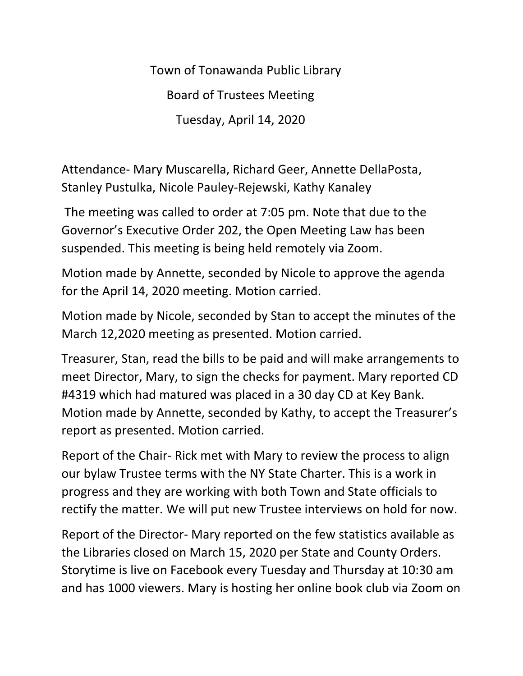Town of Tonawanda Public Library Board of Trustees Meeting Tuesday, April 14, 2020

Attendance- Mary Muscarella, Richard Geer, Annette DellaPosta, Stanley Pustulka, Nicole Pauley-Rejewski, Kathy Kanaley

The meeting was called to order at 7:05 pm. Note that due to the Governor's Executive Order 202, the Open Meeting Law has been suspended. This meeting is being held remotely via Zoom.

Motion made by Annette, seconded by Nicole to approve the agenda for the April 14, 2020 meeting. Motion carried.

Motion made by Nicole, seconded by Stan to accept the minutes of the March 12,2020 meeting as presented. Motion carried.

Treasurer, Stan, read the bills to be paid and will make arrangements to meet Director, Mary, to sign the checks for payment. Mary reported CD #4319 which had matured was placed in a 30 day CD at Key Bank. Motion made by Annette, seconded by Kathy, to accept the Treasurer's report as presented. Motion carried.

Report of the Chair- Rick met with Mary to review the process to align our bylaw Trustee terms with the NY State Charter. This is a work in progress and they are working with both Town and State officials to rectify the matter. We will put new Trustee interviews on hold for now.

Report of the Director- Mary reported on the few statistics available as the Libraries closed on March 15, 2020 per State and County Orders. Storytime is live on Facebook every Tuesday and Thursday at 10:30 am and has 1000 viewers. Mary is hosting her online book club via Zoom on